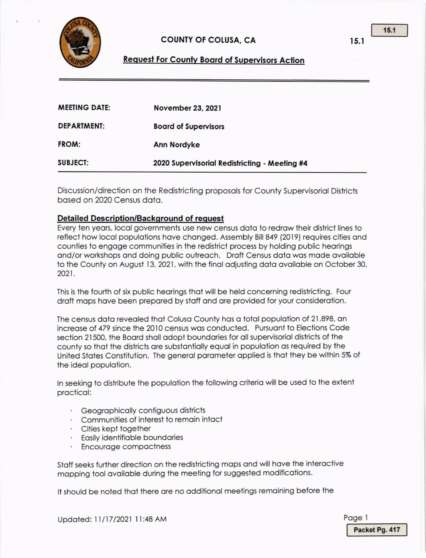

## COUNIY OT COLUSA, CA

## **Request For County Board of Supervisors Action**

| <b>MEETING DATE:</b> | November 23, 2021                             |
|----------------------|-----------------------------------------------|
| <b>DEPARTMENT:</b>   | <b>Board of Supervisors</b>                   |
| FROM:                | <b>Ann Nordyke</b>                            |
| <b>SUBJECT:</b>      | 2020 Supervisorial Redistricting - Meeting #4 |

Discussion/direction on the Redistricting proposols for County Supervisoriol Districts bosed on 2020 Census doto.

#### Detailed Description/Background of request

Every ten years, local governments use new census data to redraw their district lines to reflect how local populations have changed. Assembly Bill 849 (2019) requires cities and counties to engoge communilies in lhe redislrict process by holding public heorings ond/or workshops ond doing public outreoch. Droft Census dolo wos mode ovoiloble to the County on August 13, 2021, with the final adjusting data available on October 30, 2021.

This is the fourth of six public hearings that will be held concerning redistricting. Four draft maps have been prepared by staff and are provided for your consideration.

The census data revealed that Colusa County has a total population of 21,898, an increase of 479 since the 2010 census was conducted. Pursuant to Elections Code section 21500, the Board shall adopt boundaries for all supervisorial districts of the county so that the districts are substantially equal in population as required by the United States Constitution. The general parameter applied is that they be within 5% of the ideal population.

In seeking to distribute the population the following criteria will be used to the extent procticol:

- · Geographically contiguous districts
- Communities of interesi to remoin intoct
- · Cities kept together
- · Easily identifiable boundaries
- Encouroge compoctness

Stoff seeks furlher direction on lhe redislricting mops ond will hove the inleroctive mopping tool ovoiloble during ihe meeting for suggested modificotions.

It should be noted that there are no additional meetings remaining before the

Updated: 11/17/2021 11:48 AM

<sup>t</sup>5.l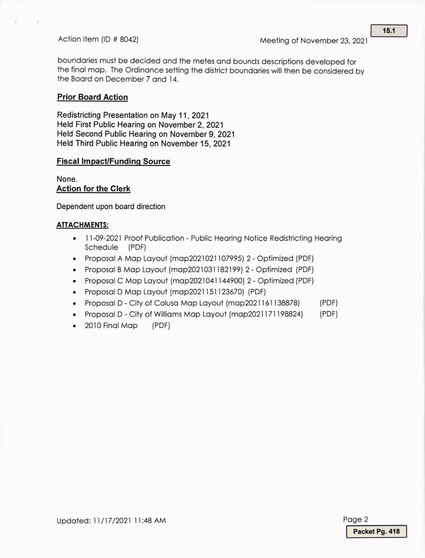boundories musl be decided ond the meies ond bounds descriptions developed for the final map. The Ordinance setting the district boundaries will then be considered by the Boord on December 7 ond 14.

#### **Prior Board Action**

Redistricting Presentation on May 11, 2021 Held First Public Hearing on November 2, 2021 Held Second Public Hearing on November 9, 2021 Held Third Public Hearing on November 15, 2021

### **Fiscal Impact/Funding Source**

None. Action for the Clerk

Dependent upon board direction

#### ATTACHMENTS:

- 11-09-2021 Proof Publication Public Hearing Notice Redistricting Hearing Schedule (PDF)
- Proposal A Map Layout (map2021021107995) 2 Optimized (PDF)
- Proposal B Map Layout (map2021031182199) 2 Optimized (PDF)
- . Proposol C Mop Loyoul (mop202l04l 1449@) 2- optimized (PDF)
- Proposal D Map Layout (map2021151123670) (PDF)
- . Proposol D-Cityof Coluso Mop Loyout (mop202l 151138878) (PDF)
- Proposal D City of Williams Map Layout (map2021171198824) (PDF)
- 2010 Final Map (PDF)